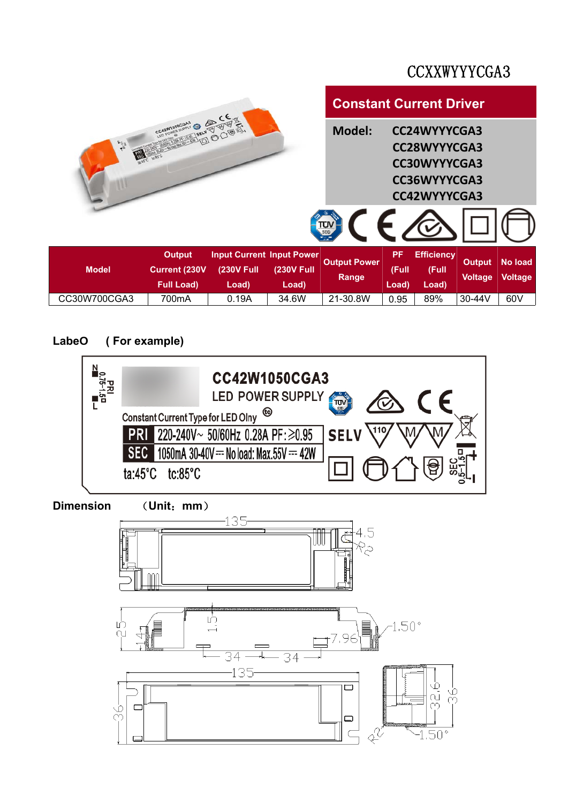### CCXXWYYYCGA3



### Labe<sup> **C**</sup> (For example)</sub>

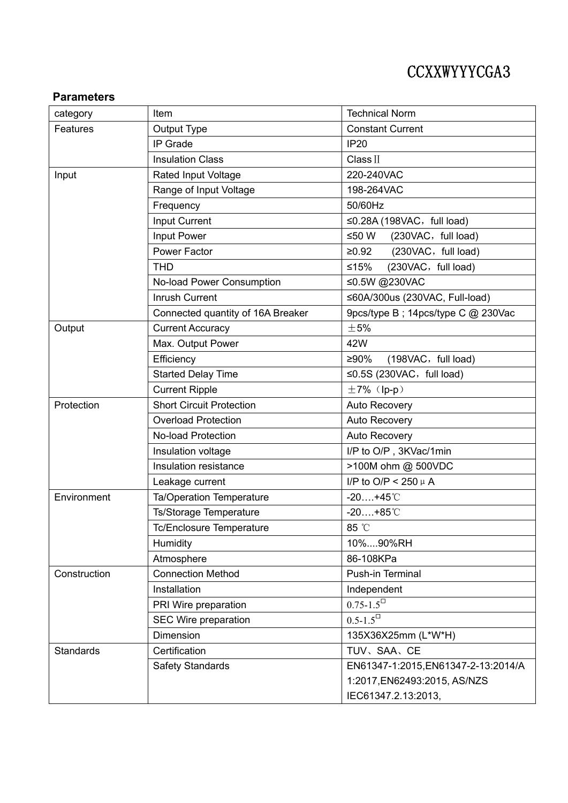# CCXXWYYYCGA3

#### **Parameters**

| category         | Item                              | <b>Technical Norm</b>                    |  |
|------------------|-----------------------------------|------------------------------------------|--|
| Features         | Output Type                       | <b>Constant Current</b>                  |  |
|                  | IP Grade                          | <b>IP20</b>                              |  |
|                  | <b>Insulation Class</b>           | Class II                                 |  |
| Input            | <b>Rated Input Voltage</b>        | 220-240VAC                               |  |
|                  | Range of Input Voltage            | 198-264VAC                               |  |
|                  | Frequency                         | 50/60Hz                                  |  |
|                  | Input Current                     | $\leq$ 0.28A (198VAC, full load)         |  |
|                  | Input Power                       | ≤50 W<br>(230VAC, full load)             |  |
|                  | Power Factor                      | (230VAC, full load)<br>≥0.92             |  |
|                  | <b>THD</b>                        | (230VAC, full load)<br>≤15%              |  |
|                  | No-load Power Consumption         | ≤0.5W @230VAC                            |  |
|                  | <b>Inrush Current</b>             | ≤60A/300us (230VAC, Full-load)           |  |
|                  | Connected quantity of 16A Breaker | 9pcs/type B; 14pcs/type C @ 230Vac       |  |
| Output           | <b>Current Accuracy</b>           | ±5%                                      |  |
|                  | Max. Output Power                 | 42W                                      |  |
|                  | Efficiency                        | (198VAC, full load)<br>≥90%              |  |
|                  | <b>Started Delay Time</b>         | $\leq$ 0.5S (230VAC, full load)          |  |
|                  | <b>Current Ripple</b>             | $\pm 7\%$ (lp-p)                         |  |
| Protection       | <b>Short Circuit Protection</b>   | Auto Recovery                            |  |
|                  | <b>Overload Protection</b>        | Auto Recovery                            |  |
|                  | <b>No-load Protection</b>         | Auto Recovery                            |  |
|                  | Insulation voltage                | I/P to O/P, 3KVac/1min                   |  |
|                  | Insulation resistance             | >100M ohm @ 500VDC                       |  |
|                  | Leakage current                   | I/P to O/P < 250 $\mu$ A                 |  |
| Environment      | Ta/Operation Temperature          | $-20+45^{\circ}$ C                       |  |
|                  | Ts/Storage Temperature            | $-20+85^{\circ}$ C                       |  |
|                  | Tc/Enclosure Temperature          | 85 °C                                    |  |
|                  | Humidity                          | 10%90%RH                                 |  |
|                  | Atmosphere                        | 86-108KPa                                |  |
| Construction     | <b>Connection Method</b>          | Push-in Terminal                         |  |
|                  | Installation                      | Independent                              |  |
|                  | PRI Wire preparation              | $0.75 - 1.5^{\square}$                   |  |
|                  | SEC Wire preparation              | $0.5 - 1.5$ <sup><math>\Box</math></sup> |  |
|                  | Dimension                         | 135X36X25mm (L*W*H)                      |  |
| <b>Standards</b> | Certification                     | TUV、SAA、CE                               |  |
|                  | Safety Standards                  | EN61347-1:2015, EN61347-2-13:2014/A      |  |
|                  |                                   | 1:2017, EN62493:2015, AS/NZS             |  |
|                  |                                   | IEC61347.2.13:2013,                      |  |